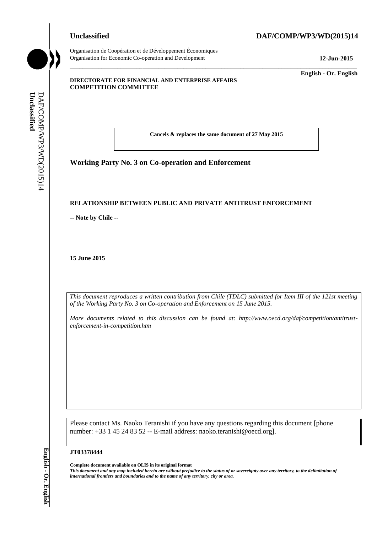Organisation de Coopération et de Développement Économiques Organisation for Economic Co-operation and Development **12-Jun-2015**

# **Unclassified DAF/COMP/WP3/WD(2015)14**

\_\_\_\_\_\_\_\_\_\_\_\_\_ **English - Or. English**

## **DIRECTORATE FOR FINANCIAL AND ENTERPRISE AFFAIRS COMPETITION COMMITTEE**

**Cancels & replaces the same document of 27 May 2015**

\_\_\_\_\_\_\_\_\_\_\_\_\_\_\_\_\_\_\_\_\_\_\_\_\_\_\_\_\_\_\_\_\_\_\_\_\_\_\_\_\_\_\_\_\_\_\_\_\_\_\_\_\_\_\_\_\_\_\_\_\_\_\_\_\_\_\_\_\_\_\_\_\_\_\_\_\_\_\_\_\_\_\_\_\_\_\_\_\_\_\_

**Working Party No. 3 on Co-operation and Enforcement**

## **RELATIONSHIP BETWEEN PUBLIC AND PRIVATE ANTITRUST ENFORCEMENT**

**-- Note by Chile --**

**15 June 2015**

*This document reproduces a written contribution from Chile (TDLC) submitted for Item III of the 121st meeting of the Working Party No. 3 on Co-operation and Enforcement on 15 June 2015.* 

*More documents related to this discussion can be found at: http://www.oecd.org/daf/competition/antitrustenforcement-in-competition.htm*

Please contact Ms. Naoko Teranishi if you have any questions regarding this document [phone number: +33 1 45 24 83 52 -- E-mail address: naoko.teranishi@oecd.org]. **iii** *international frontiers and boundaries and boundaries and boundaries and to the name of any territory or area.*<br> **If** *Dage 2015*<br> **If** *Luce 2015***<br>
<b>If** *International frontiers and boundary reproduces a written con* 

### **JT03378444**

**Complete document available on OLIS in its original format**

*This document and any map included herein are without prejudice to the status of or sovereignty over any territory, to the delimitation of*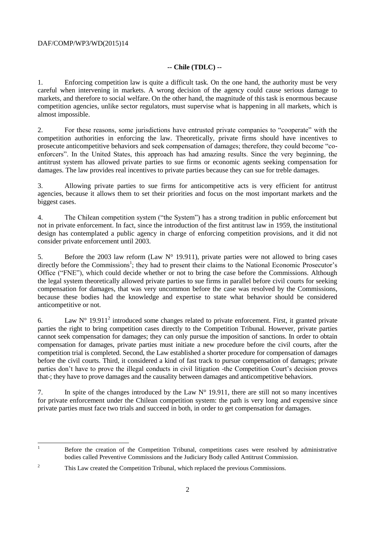# DAF/COMP/WP3/WD(2015)14

# **-- Chile (TDLC) --**

1. Enforcing competition law is quite a difficult task. On the one hand, the authority must be very careful when intervening in markets. A wrong decision of the agency could cause serious damage to markets, and therefore to social welfare. On the other hand, the magnitude of this task is enormous because competition agencies, unlike sector regulators, must supervise what is happening in all markets, which is almost impossible.

2. For these reasons, some jurisdictions have entrusted private companies to "cooperate" with the competition authorities in enforcing the law. Theoretically, private firms should have incentives to prosecute anticompetitive behaviors and seek compensation of damages; therefore, they could become "coenforcers". In the United States, this approach has had amazing results. Since the very beginning, the antitrust system has allowed private parties to sue firms or economic agents seeking compensation for damages. The law provides real incentives to private parties because they can sue for treble damages.

3. Allowing private parties to sue firms for anticompetitive acts is very efficient for antitrust agencies, because it allows them to set their priorities and focus on the most important markets and the biggest cases.

4. The Chilean competition system ("the System") has a strong tradition in public enforcement but not in private enforcement. In fact, since the introduction of the first antitrust law in 1959, the institutional design has contemplated a public agency in charge of enforcing competition provisions, and it did not consider private enforcement until 2003.

5. Before the 2003 law reform (Law N° 19.911), private parties were not allowed to bring cases directly before the Commissions<sup>1</sup>; they had to present their claims to the National Economic Prosecutor's Office ("FNE"), which could decide whether or not to bring the case before the Commissions. Although the legal system theoretically allowed private parties to sue firms in parallel before civil courts for seeking compensation for damages, that was very uncommon before the case was resolved by the Commissions, because these bodies had the knowledge and expertise to state what behavior should be considered anticompetitive or not.

6. Law  $N^{\circ}$  19.911<sup>2</sup> introduced some changes related to private enforcement. First, it granted private parties the right to bring competition cases directly to the Competition Tribunal. However, private parties cannot seek compensation for damages; they can only pursue the imposition of sanctions. In order to obtain compensation for damages, private parties must initiate a new procedure before the civil courts, after the competition trial is completed. Second, the Law established a shorter procedure for compensation of damages before the civil courts. Third, it considered a kind of fast track to pursue compensation of damages; private parties don't have to prove the illegal conducts in civil litigation -the Competition Court's decision proves that-; they have to prove damages and the causality between damages and anticompetitive behaviors.

7. In spite of the changes introduced by the Law  $N^{\circ}$  19.911, there are still not so many incentives for private enforcement under the Chilean competition system: the path is very long and expensive since private parties must face two trials and succeed in both, in order to get compensation for damages.

 $\mathbf{1}$ <sup>1</sup> Before the creation of the Competition Tribunal, competitions cases were resolved by administrative bodies called Preventive Commissions and the Judiciary Body called Antitrust Commission.

<sup>&</sup>lt;sup>2</sup> This Law created the Competition Tribunal, which replaced the previous Commissions.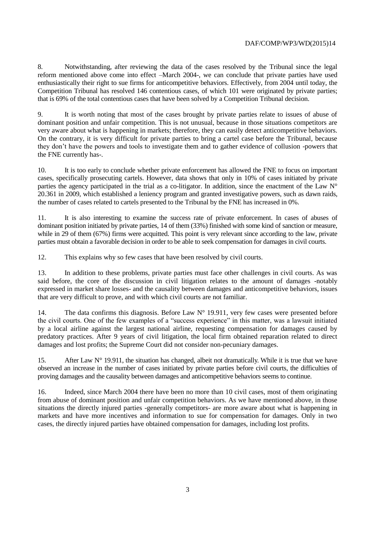8. Notwithstanding, after reviewing the data of the cases resolved by the Tribunal since the legal reform mentioned above come into effect –March 2004-, we can conclude that private parties have used enthusiastically their right to sue firms for anticompetitive behaviors. Effectively, from 2004 until today, the Competition Tribunal has resolved 146 contentious cases, of which 101 were originated by private parties; that is 69% of the total contentious cases that have been solved by a Competition Tribunal decision.

9. It is worth noting that most of the cases brought by private parties relate to issues of abuse of dominant position and unfair competition. This is not unusual, because in those situations competitors are very aware about what is happening in markets; therefore, they can easily detect anticompetitive behaviors. On the contrary, it is very difficult for private parties to bring a cartel case before the Tribunal, because they don't have the powers and tools to investigate them and to gather evidence of collusion -powers that the FNE currently has-.

10. It is too early to conclude whether private enforcement has allowed the FNE to focus on important cases, specifically prosecuting cartels. However, data shows that only in 10% of cases initiated by private parties the agency participated in the trial as a co-litigator. In addition, since the enactment of the Law N° 20.361 in 2009, which established a leniency program and granted investigative powers, such as dawn raids, the number of cases related to cartels presented to the Tribunal by the FNE has increased in 0%.

11. It is also interesting to examine the success rate of private enforcement. In cases of abuses of dominant position initiated by private parties, 14 of them (33%) finished with some kind of sanction or measure, while in 29 of them (67%) firms were acquitted. This point is very relevant since according to the law, private parties must obtain a favorable decision in order to be able to seek compensation for damages in civil courts.

12. This explains why so few cases that have been resolved by civil courts.

13. In addition to these problems, private parties must face other challenges in civil courts. As was said before, the core of the discussion in civil litigation relates to the amount of damages -notably expressed in market share losses- and the causality between damages and anticompetitive behaviors, issues that are very difficult to prove, and with which civil courts are not familiar.

14. The data confirms this diagnosis. Before Law N° 19.911, very few cases were presented before the civil courts. One of the few examples of a "success experience" in this matter, was a lawsuit initiated by a local airline against the largest national airline, requesting compensation for damages caused by predatory practices. After 9 years of civil litigation, the local firm obtained reparation related to direct damages and lost profits; the Supreme Court did not consider non-pecuniary damages.

15. After Law  $N^{\circ}$  19.911, the situation has changed, albeit not dramatically. While it is true that we have observed an increase in the number of cases initiated by private parties before civil courts, the difficulties of proving damages and the causality between damages and anticompetitive behaviors seems to continue.

16. Indeed, since March 2004 there have been no more than 10 civil cases, most of them originating from abuse of dominant position and unfair competition behaviors. As we have mentioned above, in those situations the directly injured parties -generally competitors- are more aware about what is happening in markets and have more incentives and information to sue for compensation for damages. Only in two cases, the directly injured parties have obtained compensation for damages, including lost profits.